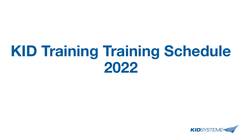# **KID Training Training Schedule 2022**

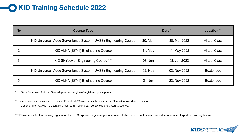# **KID Training Schedule 2022**

| No. | <b>Course Type</b>                                                |            | Date *                                   | <b>Location</b> **   |
|-----|-------------------------------------------------------------------|------------|------------------------------------------|----------------------|
| 1.  | KID Universal Video Surveillance System (UVSS) Engineering Course | 30. Mar.   | 30. Mar 2022<br>$\overline{\phantom{0}}$ | <b>Virtual Class</b> |
| 2.  | KID ALNA (SKYfi) Engineering Course                               | 11. May    | 11. May 2022<br>$\blacksquare$           | <b>Virtual Class</b> |
| 3.  | KID SKYpower Engineering Course ***                               | 08. Jun    | 08. Jun 2022<br>$\blacksquare$           | <b>Virtual Class</b> |
| 4.  | KID Universal Video Surveillance System (UVSS) Engineering Course | 02. Nov    | 02. Nov 2022<br>$\blacksquare$           | <b>Buxtehude</b>     |
| 5.  | KID ALNA (SKYfi) Engineering Course                               | $21$ . Nov | 22. Nov 2022<br>$\overline{\phantom{0}}$ | <b>Buxtehude</b>     |

\* Daily Schedule of Virtual Class depends on region of registered participants.

\*\* Scheduled as Classroom Training in Buxtehude/Germany facility or as Virtual Class (Google Meet) Training. Depending on COVID 19 situation Classroom Training can be switched to Virtual Class too.

\*\*\* Please consider that training registration for KID SKYpower Engineering course needs to be done 3 months in advance due to required Export Control regulations.

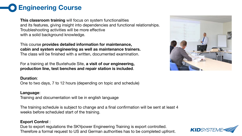## **Engineering Course**

**This classroom training** will focus on system functionalities and its features, giving insight into dependencies and functional relationships. Troubleshooting activities will be more effective with a solid background knowledge.

This course **provides detailed information for maintenance, cabin and system engineering as well as maintenance trainers.** The class will be finished with a written, documented examination.

For a training at the Buxtehude Site, **a visit of our engineering, production line, test benches and repair station is included**.

#### **Duration**:

One to two days, 7 to 12 hours (depending on topic and schedule)

#### **Language**:

Training and documentation will be in english language

The training schedule is subject to change and a final confirmation will be sent at least 4 weeks before scheduled start of the training.

### **Export Control** :

Due to export regulations the SKYpower Engineering Training is export controlled. Therefore a formal request to US and German authorities has to be completed upfront.



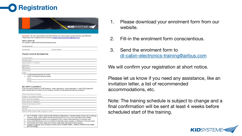

| <b>KID</b> SYSTEME |
|--------------------|
|                    |

Important: The entry permit at the joint KID-Systeme and Airbus plant requires ONE form per PERSON Please return the completed form by email to dl-cabin-electronics-training@airbus.com

Course location

| <b><i>PARTICIPATION</i></b><br>We request to reserve the following training course: |  |
|-------------------------------------------------------------------------------------|--|
|                                                                                     |  |

| Course type/ title: |  |  |
|---------------------|--|--|
|                     |  |  |

| Course dat |  |  |  |  |
|------------|--|--|--|--|
|            |  |  |  |  |

#### TRAINEE/VISITOR INFORMATION

|                    | Airline/ Company:                                                                             |
|--------------------|-----------------------------------------------------------------------------------------------|
|                    | Trainee's name:                                                                               |
|                    | Date (DD/MM/YYYY) of birth:                                                                   |
| Department:        |                                                                                               |
|                    | Office phone:                                                                                 |
|                    | Mobile phone:                                                                                 |
| E-mail:            |                                                                                               |
| $\circ$<br>$\circ$ | I'm the trainee and enrolled for myself.<br>I enrol in the name of the above trainee<br>Name: |
|                    | E-mail:                                                                                       |

#### **SECURITY CLEARANCE**

If you are not an employee of KID-Systeme. Airbus Operations, Airbus Helicopter or Airbus D&S please fill below. Please send us a scan of your passport via Email for enrolment and security clearance.

| Name of the trainee's company:                          |  |
|---------------------------------------------------------|--|
| Address of the trainee's company:                       |  |
| Family name, as in passport:                            |  |
| Given names, as in passport:                            |  |
| Place/City and country of birth:                        |  |
| Nationality:                                            |  |
| Job title:                                              |  |
| Need an official invitation letter to apply for a visa? |  |

. KID-SYSTEME / Airbus "General Data Protection Regulations": Trainee's details will be used for training, company, legal, export control and security clearance only. It will not be disclosed to third parties.

- . Enrolment/registration needs to be confirmed by KID / Airbus Cabin Electronics to become valid. . Airbus Cabin Electronics has to be notified immediately about changes or withdrawal of the enrolment.
- The trainee has to follow legal and company rules while visiting the training location.
- . Passport is required at the reception to enter KID-SYSTEME GMBH / AIRBUS OPERATIONS GMBH BUXTEHUDE.
- 1. Please download your enrolment form from our website.
- 2. Fill-in the enrolment form conscientious.
- 3. Send the enrolment form to [dl-cabin-electronics-training@airbus.com](mailto:dl-cabin-electronics-training@airbus.com)

We will confirm your registration at short notice.

Please let us know if you need any assistance, like an invitation letter, a list of recommended accommodations, etc.

Note: The training schedule is subject to change and a final confirmation will be sent at least 4 weeks before scheduled start of the training.